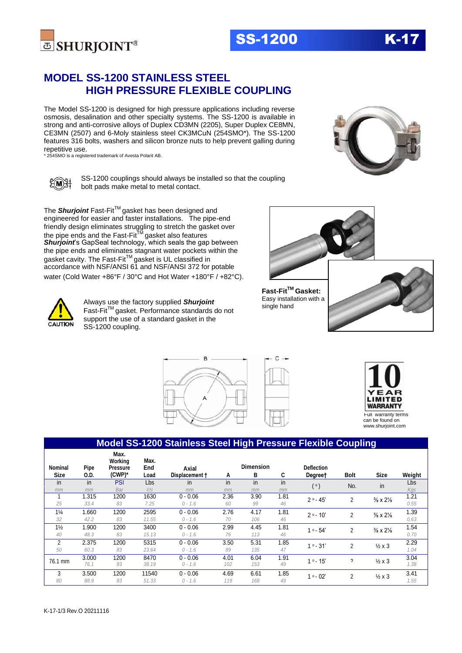

The Model SS-1200 is designed for high pressure applications including reverse osmosis, desalination and other specialty systems. The SS-1200 is available in strong and anti-corrosive alloys of Duplex CD3MN (2205), Super Duplex CE8MN, CE3MN (2507) and 6-Moly stainless steel CK3MCuN (254SMO\*). The SS-1200 features 316 bolts, washers and silicon bronze nuts to help prevent galling during repetitive use.

\* 254SMO is a registered trademark of Avesta Polarit AB.



SS-1200 couplings should always be installed so that the coupling bolt pads make metal to metal contact.

The **Shurjoint** Fast-Fit™ gasket has been designed and engineered for easier and faster installations. The pipe-end friendly design eliminates struggling to stretch the gasket over the pipe ends and the Fast-Fit $^{\text{\tiny{\textsf{TM}}}}$ gasket also features *Shurjoint*'s GapSeal technology, which seals the gap between the pipe ends and eliminates stagnant water pockets within the gasket cavity. The Fast-Fit<sup>TM</sup> gasket is UL classified in accordance with NSF/ANSI 61 and NSF/ANSI 372 for potable water (Cold Water +86°F / 30°C and Hot Water +180°F / +82°C).

 $E(M)$ 

Always use the factory supplied *Shurjoint* Fast-FitTM gasket. Performance standards do not support the use of a standard gasket in the SS-1200 coupling.



**Fast-FitTM Gasket:**  Easy installation with a single hand

**SS-1200** 







#### **Model SS-1200 Stainless Steel High Pressure Flexible Coupling Nominal Size Pipe O.D. Max. Working Pressure (CWP)\* Max. End Load Axial Displacement † Dimension**<br> **B C Degreet A B C Degree† Bolt Size Weight** in in PSI Lbs in in in in ( o ) No. in Lbs *mm mm Bar kN mm mm mm mm Kgs* <sup>1</sup> 1.315 <sup>1200</sup> <sup>1630</sup> 0 - 0.06 2.36 3.90 1.81 <sup>2</sup>o - 45' <sup>2</sup> ⅜ x 2⅛ 1.21 *25 33.4 83 7.25 0 - 1.6 60 99 46 0.55* 1¼ 1.660 <sup>1200</sup> <sup>2595</sup> 0 - 0.06 2.76 4.17 1.81 <sup>2</sup>o - 10' <sup>2</sup> ⅜ x 2⅛ 1.39 *32 42.2 83 11.55 0 - 1.6 70 106 46 0.63* 1½ 1.900 <sup>1200</sup> <sup>3400</sup> 0 - 0.06 2.99 4.45 1.81 <sup>1</sup>o - 54' <sup>2</sup> ⅜ x 2⅛ 1.54 *40 48.3 83 15.13 0 - 1.6 76 113 46 0.70* 2 2.375 1200 5315 0 0.06 3.50 5.31 1.85 <sub>1</sub> o 31' 2 ½ x 3 <sup>2.29</sup> *50 60.3 83 23.64 0 - 1.6 89 135 47 1.04* 76.1 mm  $\frac{3.000}{76.1}$   $\frac{1200}{76.4}$   $\frac{8470}{9.40}$   $\frac{0.006}{1.6}$   $\frac{4.01}{102}$   $\frac{6.04}{152}$   $\frac{1.91}{40}$   $\frac{1}{10}$   $\frac{1}{10}$   $\frac{1}{10}$   $\frac{1}{10}$   $\frac{1}{10}$   $\frac{1}{10}$   $\frac{1}{10}$   $\frac{3.04}{10}$ *76.1 83 38.19 0 - 1.6 102 153 49 1.38*  $\frac{3}{100}$   $\frac{3.500}{1200}$   $\frac{11540}{1540}$   $\frac{0.06}{0.06}$   $\frac{4.69}{100}$   $\frac{6.61}{100}$   $\frac{1.85}{100}$   $\frac{1}{100}$   $\frac{1}{2}$   $\frac{2}{100}$   $\frac{3.41}{100}$ *80 88.9 83 51.33 0 - 1.6 119 168 49 1.55*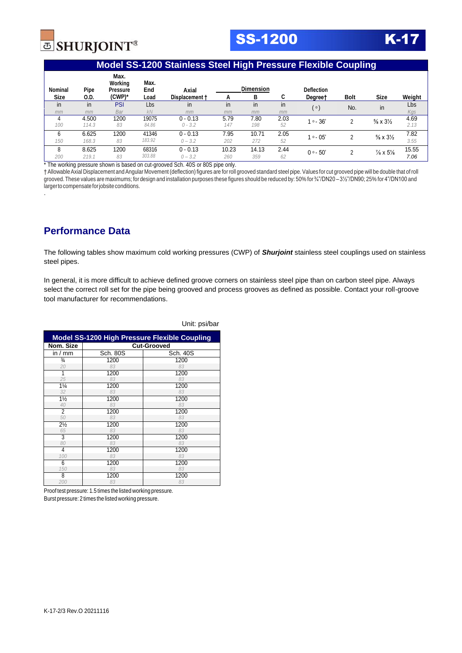

**SS-1200** 

### **Model SS-1200 Stainless Steel High Pressure Flexible Coupling**

| <b>Nominal</b><br><b>Size</b> | Pipe  | Max.<br>Working<br><b>Pressure</b><br>$(CWP)^*$ | Max.<br>End<br>Load | Axial          |       | <b>Dimension</b><br>в | C    | <b>Deflection</b> |      | <b>Size</b>                       |        |
|-------------------------------|-------|-------------------------------------------------|---------------------|----------------|-------|-----------------------|------|-------------------|------|-----------------------------------|--------|
|                               | 0.D.  |                                                 |                     | Displacement + | А     |                       |      | Degree†           | Bolt |                                   | Weight |
| in                            | in    | PSI                                             | Lbs                 | in             | in    | in                    | in   | ( o )             | No.  | in                                | Lbs    |
| mm                            | mm    | Bar                                             | KN                  | mm             | mm    | mm                    | mm   |                   |      |                                   | Kgs    |
|                               | 4.500 | 1200                                            | 19075               | $0 - 0.13$     | 5.79  | 7.80                  | 2.03 | $1° - 36'$        | ∩    | $\frac{5}{8} \times 3\frac{1}{2}$ | 4.69   |
| 100                           | 114.3 | 83                                              | 84.86               | $0 - 3.2$      | 147   | 198                   | 52   |                   |      |                                   | 2.13   |
| 6                             | 6.625 | 1200                                            | 41346               | $0 - 0.13$     | 7.95  | 10.71                 | 2.05 | $1° - 05'$        |      | $\frac{5}{8} \times 3\frac{1}{2}$ | 7.82   |
| 150                           | 168.3 | 83                                              | 183.92              | $0 - 3.2$      | 202   | 272                   | 52   |                   |      |                                   | 3.55   |
| 8                             | 8.625 | 1200                                            | 68316               | $0 - 0.13$     | 10.23 | 14.13                 | 2.44 | $0° - 50'$        | ∩    | $\frac{7}{8} \times 5\%$          | 15.55  |
| 200                           | 219.1 | 83                                              | 303.88              | $0 - 3.2$      | 260   | 359                   | 62   |                   |      |                                   | 7.06   |
|                               |       |                                                 |                     |                |       |                       |      |                   |      |                                   |        |

\* The working pressure shown is based on cut-grooved Sch. 40S or 80S pipe only.

†AllowableAxial Displacement andAngular Movement (deflection)figures are for roll grooved standard steel pipe. Values for cut grooved pipe will be double that of roll grooved.These values are maximums; for design and installation purposes these figures should be reduced by: 50% for ¾"/DN20 – 3½"/DN90; 25% for 4"/DN100 and largerto compensate for jobsite conditions.

## **Performance Data**

.

The following tables show maximum cold working pressures (CWP) of *Shurjoint* stainless steel couplings used on stainless steel pipes.

In general, it is more difficult to achieve defined groove corners on stainless steel pipe than on carbon steel pipe. Always select the correct roll set for the pipe being grooved and process grooves as defined as possible. Contact your roll-groove tool manufacturer for recommendations.

| <b>Model SS-1200 High Pressure Flexible Coupling</b> |                    |                 |  |  |  |  |  |  |  |
|------------------------------------------------------|--------------------|-----------------|--|--|--|--|--|--|--|
| Nom. Size                                            | <b>Cut-Grooved</b> |                 |  |  |  |  |  |  |  |
| in $/$ mm                                            | <b>Sch. 80S</b>    | <b>Sch. 40S</b> |  |  |  |  |  |  |  |
| $\frac{3}{4}$                                        | 1200               | 1200            |  |  |  |  |  |  |  |
| 20                                                   | 83                 | 83              |  |  |  |  |  |  |  |
| 1                                                    | 1200               | 1200            |  |  |  |  |  |  |  |
| 25                                                   | 83                 | 83              |  |  |  |  |  |  |  |
| $1\frac{1}{4}$                                       | 1200               | 1200            |  |  |  |  |  |  |  |
| 32                                                   | 83                 | 83              |  |  |  |  |  |  |  |
| $1\frac{1}{2}$                                       | 1200               | 1200            |  |  |  |  |  |  |  |
| 40                                                   | 83                 | 83              |  |  |  |  |  |  |  |
| $\overline{2}$                                       | 1200               | 1200            |  |  |  |  |  |  |  |
| 50                                                   | 83                 | 83              |  |  |  |  |  |  |  |
| $2\frac{1}{2}$                                       | 1200               | 1200            |  |  |  |  |  |  |  |
| 65                                                   | 83                 | 83              |  |  |  |  |  |  |  |
| 3                                                    | 1200               | 1200            |  |  |  |  |  |  |  |
| 80                                                   | 83                 | 83              |  |  |  |  |  |  |  |
| 4                                                    | 1200               | 1200            |  |  |  |  |  |  |  |
| 100                                                  | 83                 | 83              |  |  |  |  |  |  |  |
| 6                                                    | 1200               | 1200            |  |  |  |  |  |  |  |
| 150                                                  | 83                 | 83              |  |  |  |  |  |  |  |
| 8                                                    | 1200               | 1200            |  |  |  |  |  |  |  |
| 200                                                  | 83                 | 83              |  |  |  |  |  |  |  |

#### Unit: psi/bar

Proof test pressure: 1.5 times the listed working pressure. Burst pressure: 2 times the listed working pressure.